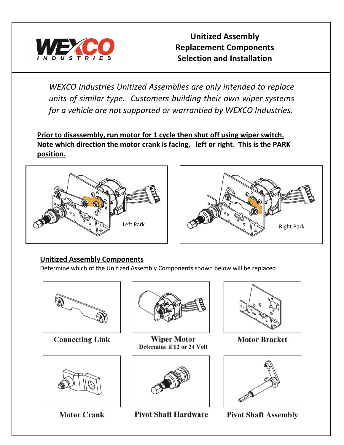

**Unitized Assembly Replacement Components Selection and Installation**

*WEXCO Industries Unitized Assemblies are only intended to replace units of similar type. Customers building their own wiper systems for a vehicle are not supported or warrantied by WEXCO Industries.*

**Prior to disassembly, run motor for 1 cycle then shut off using wiper switch. Note which direction the motor crank is facing, left or right. This is the PARK position.**





## **Unitized Assembly Components**

Determine which of the Unitized Assembly Components shown below will be replaced.



**Connecting Link** 



**Motor Crank** 



**Wiper Motor** Determine if 12 or 24 Volt







**Motor Bracket** 



**Pivot Shaft Assembly**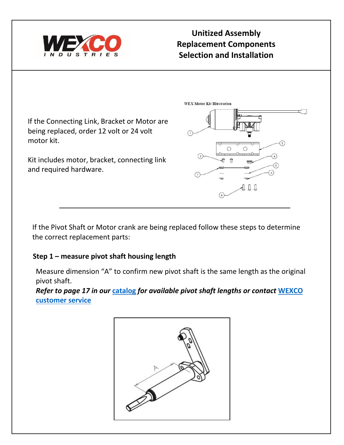

# **Unitized Assembly Replacement Components Selection and Installation**

**WEX Motor Kit Illustration** 

If the Connecting Link, Bracket or Motor are being replaced, order 12 volt or 24 volt motor kit.

Kit includes motor, bracket, connecting link and required hardware.

If the Pivot Shaft or Motor crank are being replaced follow these steps to determine the correct replacement parts:

## **Step 1 – measure pivot shaft housing length**

 $\hat{\mathbb{T}}$ ДQ Д

 $\circ$ 

Measure dimension "A" to confirm new pivot shaft is the same length as the original pivot shaft.

*Refer to page 17 in our* **[catalog](https://cb6f3aa9-791a-420f-8f5d-1fb168fa1949.filesusr.com/ugd/0ecde1_964e8e76c8be42ecbd48bd67c9326fca.pdf)** *for available pivot shaft lengths or contact* **[WEXCO](https://www.wexcoind.com/)  [customer service](https://www.wexcoind.com/)**

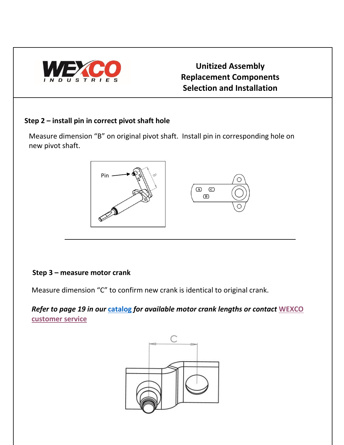

# **Unitized Assembly Replacement Components Selection and Installation**

### **Step 2 – install pin in correct pivot shaft hole**

Measure dimension "B" on original pivot shaft. Install pin in corresponding hole on new pivot shaft.



### **Step 3 – measure motor crank**

Measure dimension "C" to confirm new crank is identical to original crank.

*Refer to page 19 in our* **[catalog](https://cb6f3aa9-791a-420f-8f5d-1fb168fa1949.filesusr.com/ugd/0ecde1_964e8e76c8be42ecbd48bd67c9326fca.pdf)** *for available motor crank lengths or contact* **[WEXCO](https://www.wexcoind.com/)  [customer service](https://www.wexcoind.com/)**